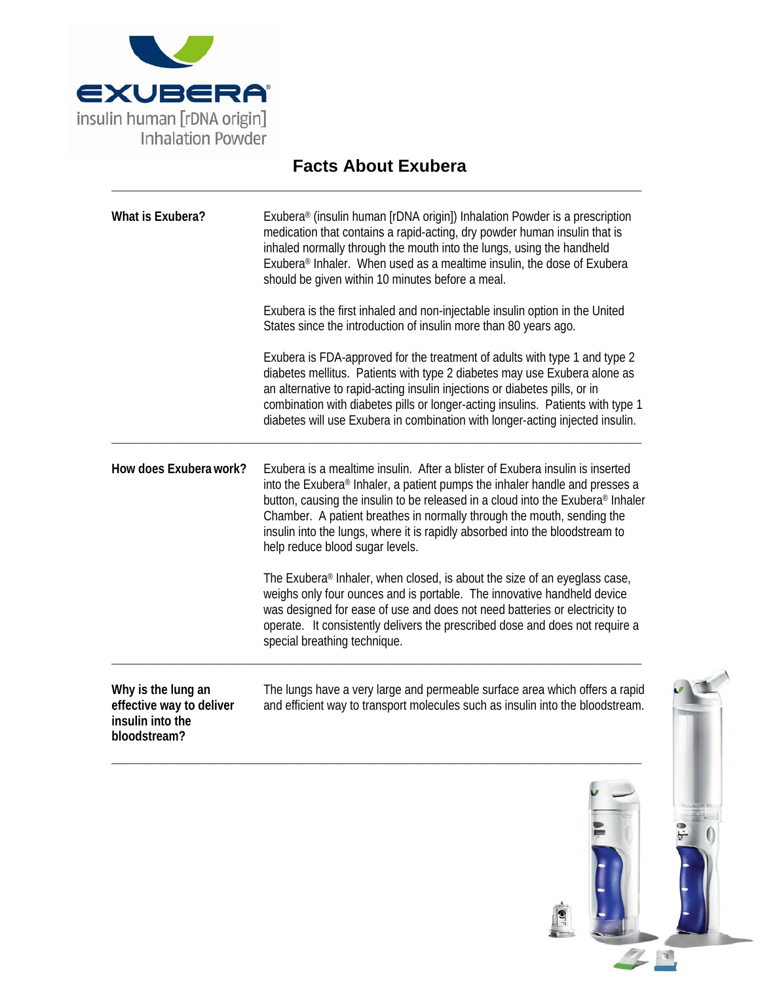

## **Facts About Exubera \_\_\_\_\_\_\_\_\_\_\_\_\_\_\_\_\_\_\_\_\_\_\_\_\_\_\_\_\_\_\_\_\_\_\_\_\_\_\_\_\_\_\_\_\_\_\_\_\_\_\_\_\_\_\_\_\_\_\_\_\_\_\_\_**

| What is Exubera?                                                                   | Exubera <sup>®</sup> (insulin human [rDNA origin]) Inhalation Powder is a prescription<br>medication that contains a rapid-acting, dry powder human insulin that is<br>inhaled normally through the mouth into the lungs, using the handheld<br>Exubera <sup>®</sup> Inhaler. When used as a mealtime insulin, the dose of Exubera<br>should be given within 10 minutes before a meal.                                                                   |
|------------------------------------------------------------------------------------|----------------------------------------------------------------------------------------------------------------------------------------------------------------------------------------------------------------------------------------------------------------------------------------------------------------------------------------------------------------------------------------------------------------------------------------------------------|
|                                                                                    | Exubera is the first inhaled and non-injectable insulin option in the United<br>States since the introduction of insulin more than 80 years ago.                                                                                                                                                                                                                                                                                                         |
|                                                                                    | Exubera is FDA-approved for the treatment of adults with type 1 and type 2<br>diabetes mellitus. Patients with type 2 diabetes may use Exubera alone as<br>an alternative to rapid-acting insulin injections or diabetes pills, or in<br>combination with diabetes pills or longer-acting insulins. Patients with type 1<br>diabetes will use Exubera in combination with longer-acting injected insulin.                                                |
| How does Exubera work?                                                             | Exubera is a mealtime insulin. After a blister of Exubera insulin is inserted<br>into the Exubera® Inhaler, a patient pumps the inhaler handle and presses a<br>button, causing the insulin to be released in a cloud into the Exubera <sup>®</sup> Inhaler<br>Chamber. A patient breathes in normally through the mouth, sending the<br>insulin into the lungs, where it is rapidly absorbed into the bloodstream to<br>help reduce blood sugar levels. |
|                                                                                    | The Exubera® Inhaler, when closed, is about the size of an eyeglass case,<br>weighs only four ounces and is portable. The innovative handheld device<br>was designed for ease of use and does not need batteries or electricity to<br>operate. It consistently delivers the prescribed dose and does not require a<br>special breathing technique.                                                                                                       |
| Why is the lung an<br>effective way to deliver<br>insulin into the<br>bloodstream? | The lungs have a very large and permeable surface area which offers a rapid<br>and efficient way to transport molecules such as insulin into the bloodstream.                                                                                                                                                                                                                                                                                            |



 $\frac{1}{2}$ 

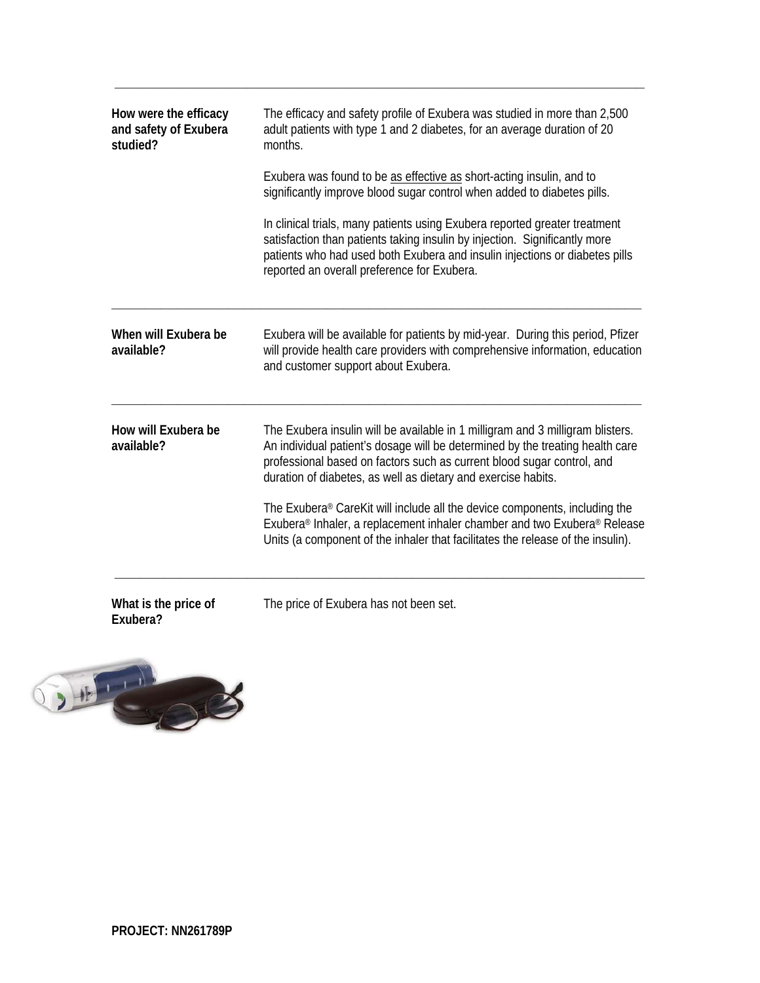| How were the efficacy<br>and safety of Exubera<br>studied? | The efficacy and safety profile of Exubera was studied in more than 2,500<br>adult patients with type 1 and 2 diabetes, for an average duration of 20<br>months.                                                                                                                                           |
|------------------------------------------------------------|------------------------------------------------------------------------------------------------------------------------------------------------------------------------------------------------------------------------------------------------------------------------------------------------------------|
|                                                            | Exubera was found to be as effective as short-acting insulin, and to<br>significantly improve blood sugar control when added to diabetes pills.                                                                                                                                                            |
|                                                            | In clinical trials, many patients using Exubera reported greater treatment<br>satisfaction than patients taking insulin by injection. Significantly more<br>patients who had used both Exubera and insulin injections or diabetes pills<br>reported an overall preference for Exubera.                     |
| When will Exubera be<br>available?                         | Exubera will be available for patients by mid-year. During this period, Pfizer<br>will provide health care providers with comprehensive information, education<br>and customer support about Exubera.                                                                                                      |
| How will Exubera be<br>available?                          | The Exubera insulin will be available in 1 milligram and 3 milligram blisters.<br>An individual patient's dosage will be determined by the treating health care<br>professional based on factors such as current blood sugar control, and<br>duration of diabetes, as well as dietary and exercise habits. |
|                                                            | The Exubera® CareKit will include all the device components, including the<br>Exubera® Inhaler, a replacement inhaler chamber and two Exubera® Release<br>Units (a component of the inhaler that facilitates the release of the insulin).                                                                  |
| What is the price of<br>Exubera?                           | The price of Exubera has not been set.                                                                                                                                                                                                                                                                     |

**\_\_\_\_\_\_\_\_\_\_\_\_\_\_\_\_\_\_\_\_\_\_\_\_\_\_\_\_\_\_\_\_\_\_\_\_\_\_\_\_\_\_\_\_\_\_\_\_\_\_\_\_\_\_\_\_\_\_\_\_\_\_\_\_**